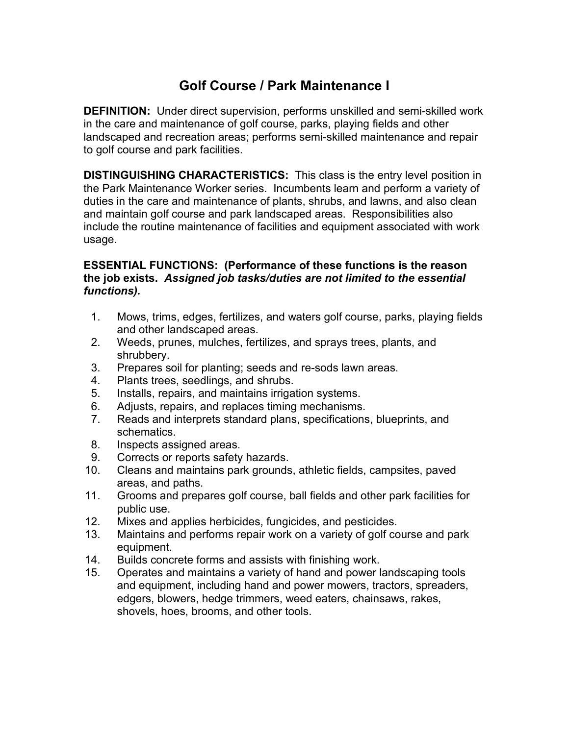# **Golf Course / Park Maintenance I**

**DEFINITION:** Under direct supervision, performs unskilled and semi-skilled work in the care and maintenance of golf course, parks, playing fields and other landscaped and recreation areas; performs semi-skilled maintenance and repair to golf course and park facilities.

**DISTINGUISHING CHARACTERISTICS:** This class is the entry level position in the Park Maintenance Worker series. Incumbents learn and perform a variety of duties in the care and maintenance of plants, shrubs, and lawns, and also clean and maintain golf course and park landscaped areas. Responsibilities also include the routine maintenance of facilities and equipment associated with work usage.

## **ESSENTIAL FUNCTIONS: (Performance of these functions is the reason the job exists.** *Assigned job tasks/duties are not limited to the essential functions).*

- 1. Mows, trims, edges, fertilizes, and waters golf course, parks, playing fields and other landscaped areas.
- 2. Weeds, prunes, mulches, fertilizes, and sprays trees, plants, and shrubbery.
- 3. Prepares soil for planting; seeds and re-sods lawn areas.
- 4. Plants trees, seedlings, and shrubs.
- 5. Installs, repairs, and maintains irrigation systems.
- 6. Adjusts, repairs, and replaces timing mechanisms.
- 7. Reads and interprets standard plans, specifications, blueprints, and schematics.
- 8. Inspects assigned areas.
- 9. Corrects or reports safety hazards.
- 10. Cleans and maintains park grounds, athletic fields, campsites, paved areas, and paths.
- 11. Grooms and prepares golf course, ball fields and other park facilities for public use.
- 12. Mixes and applies herbicides, fungicides, and pesticides.
- 13. Maintains and performs repair work on a variety of golf course and park equipment.
- 14. Builds concrete forms and assists with finishing work.
- 15. Operates and maintains a variety of hand and power landscaping tools and equipment, including hand and power mowers, tractors, spreaders, edgers, blowers, hedge trimmers, weed eaters, chainsaws, rakes, shovels, hoes, brooms, and other tools.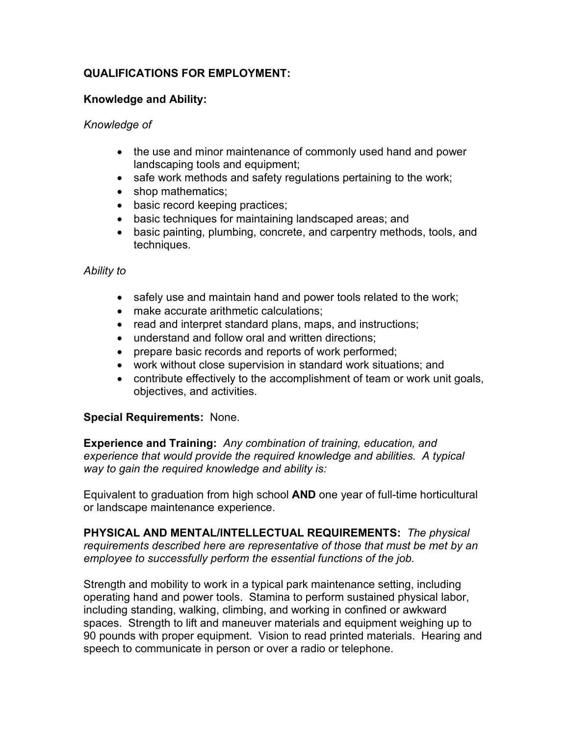## **QUALIFICATIONS FOR EMPLOYMENT:**

## **Knowledge and Ability:**

#### *Knowledge of*

- the use and minor maintenance of commonly used hand and power landscaping tools and equipment;
- safe work methods and safety regulations pertaining to the work;
- shop mathematics;
- basic record keeping practices;
- basic techniques for maintaining landscaped areas; and
- basic painting, plumbing, concrete, and carpentry methods, tools, and techniques.

#### *Ability to*

- safely use and maintain hand and power tools related to the work;
- make accurate arithmetic calculations;
- read and interpret standard plans, maps, and instructions;
- understand and follow oral and written directions;
- prepare basic records and reports of work performed;
- work without close supervision in standard work situations; and
- contribute effectively to the accomplishment of team or work unit goals, objectives, and activities.

#### **Special Requirements:** None.

**Experience and Training:** *Any combination of training, education, and experience that would provide the required knowledge and abilities. A typical way to gain the required knowledge and ability is:*

Equivalent to graduation from high school **AND** one year of full-time horticultural or landscape maintenance experience.

**PHYSICAL AND MENTAL/INTELLECTUAL REQUIREMENTS:** *The physical requirements described here are representative of those that must be met by an employee to successfully perform the essential functions of the job.* 

Strength and mobility to work in a typical park maintenance setting, including operating hand and power tools. Stamina to perform sustained physical labor, including standing, walking, climbing, and working in confined or awkward spaces. Strength to lift and maneuver materials and equipment weighing up to 90 pounds with proper equipment. Vision to read printed materials. Hearing and speech to communicate in person or over a radio or telephone.